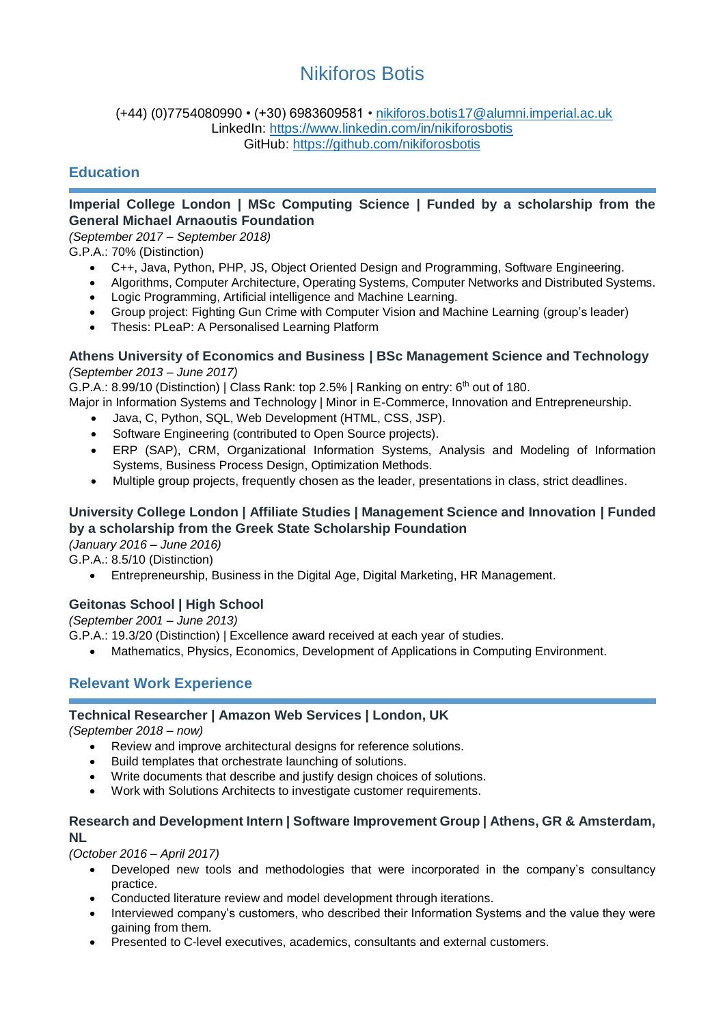# Nikiforos Botis

#### (+44) (0)7754080990 • (+30) 6983609581 • [nikiforos.botis17@alumni.imperial.ac.uk](mailto:nikiforos.botis17@alumni.imperial.ac.uk) LinkedIn:<https://www.linkedin.com/in/nikiforosbotis> GitHub:<https://github.com/nikiforosbotis>

## **Education**

#### **Imperial College London | MSc Computing Science | Funded by a scholarship from the General Michael Arnaoutis Foundation**

*(September 2017 – September 2018)*

G.P.A.: 70% (Distinction)

- C++, Java, Python, PHP, JS, Object Oriented Design and Programming, Software Engineering.
- Algorithms, Computer Architecture, Operating Systems, Computer Networks and Distributed Systems.
- Logic Programming, Artificial intelligence and Machine Learning.
- Group project: Fighting Gun Crime with Computer Vision and Machine Learning (group's leader)
- Thesis: PLeaP: A Personalised Learning Platform

#### **Athens University of Economics and Business | BSc Management Science and Technology** *(September 2013 – June 2017)*

G.P.A.: 8.99/10 (Distinction) | Class Rank: top 2.5% | Ranking on entry:  $6<sup>th</sup>$  out of 180.

- Major in Information Systems and Technology | Minor in E-Commerce, Innovation and Entrepreneurship.
	- Java, C, Python, SQL, Web Development (HTML, CSS, JSP).
	- Software Engineering (contributed to Open Source projects).
	- ERP (SAP), CRM, Organizational Information Systems, Analysis and Modeling of Information Systems, Business Process Design, Optimization Methods.
	- Multiple group projects, frequently chosen as the leader, presentations in class, strict deadlines.

# **University College London | Affiliate Studies | Management Science and Innovation | Funded by a scholarship from the Greek State Scholarship Foundation**

*(January 2016 – June 2016)*

G.P.A.: 8.5/10 (Distinction)

• Entrepreneurship, Business in the Digital Age, Digital Marketing, HR Management.

## **Geitonas School | High School**

*(September 2001 – June 2013)*

- G.P.A.: 19.3/20 (Distinction) | Excellence award received at each year of studies.
	- Mathematics, Physics, Economics, Development of Applications in Computing Environment.

# **Relevant Work Experience**

#### **Technical Researcher | Amazon Web Services | London, UK**

*(September 2018 – now)*

- Review and improve architectural designs for reference solutions.
- Build templates that orchestrate launching of solutions.
- Write documents that describe and justify design choices of solutions.
- Work with Solutions Architects to investigate customer requirements.

#### **Research and Development Intern | Software Improvement Group | Athens, GR & Amsterdam, NL**

*(October 2016 – April 2017)*

- Developed new tools and methodologies that were incorporated in the company's consultancy practice.
- Conducted literature review and model development through iterations.
- Interviewed company's customers, who described their Information Systems and the value they were gaining from them.
- Presented to C-level executives, academics, consultants and external customers.